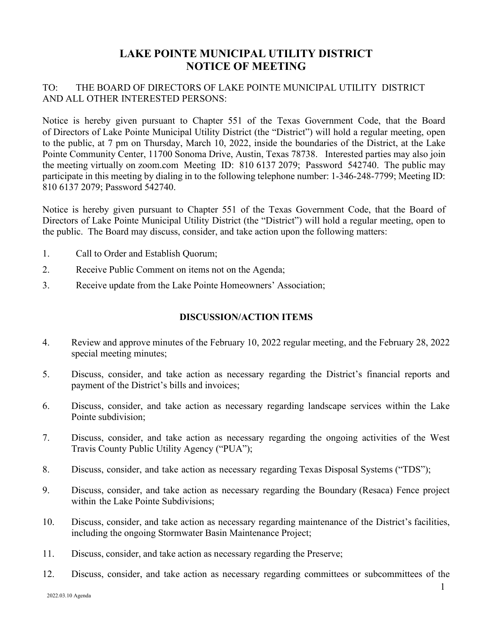## **LAKE POINTE MUNICIPAL UTILITY DISTRICT NOTICE OF MEETING**

## TO: THE BOARD OF DIRECTORS OF LAKE POINTE MUNICIPAL UTILITY DISTRICT AND ALL OTHER INTERESTED PERSONS:

Notice is hereby given pursuant to Chapter 551 of the Texas Government Code, that the Board of Directors of Lake Pointe Municipal Utility District (the "District") will hold a regular meeting, open to the public, at 7 pm on Thursday, March 10, 2022, inside the boundaries of the District, at the Lake Pointe Community Center, 11700 Sonoma Drive, Austin, Texas 78738. Interested parties may also join the meeting virtually on zoom.com Meeting ID: 810 6137 2079; Password 542740. The public may participate in this meeting by dialing in to the following telephone number: 1-346-248-7799; Meeting ID: 810 6137 2079; Password 542740.

Notice is hereby given pursuant to Chapter 551 of the Texas Government Code, that the Board of Directors of Lake Pointe Municipal Utility District (the "District") will hold a regular meeting, open to the public. The Board may discuss, consider, and take action upon the following matters:

- 1. Call to Order and Establish Quorum;
- 2. Receive Public Comment on items not on the Agenda;
- 3. Receive update from the Lake Pointe Homeowners' Association;

## **DISCUSSION/ACTION ITEMS**

- 4. Review and approve minutes of the February 10, 2022 regular meeting, and the February 28, 2022 special meeting minutes;
- 5. Discuss, consider, and take action as necessary regarding the District's financial reports and payment of the District's bills and invoices;
- 6. Discuss, consider, and take action as necessary regarding landscape services within the Lake Pointe subdivision;
- 7. Discuss, consider, and take action as necessary regarding the ongoing activities of the West Travis County Public Utility Agency ("PUA");
- 8. Discuss, consider, and take action as necessary regarding Texas Disposal Systems ("TDS");
- 9. Discuss, consider, and take action as necessary regarding the Boundary (Resaca) Fence project within the Lake Pointe Subdivisions;
- 10. Discuss, consider, and take action as necessary regarding maintenance of the District's facilities, including the ongoing Stormwater Basin Maintenance Project;
- 11. Discuss, consider, and take action as necessary regarding the Preserve;
- 12. Discuss, consider, and take action as necessary regarding committees or subcommittees of the